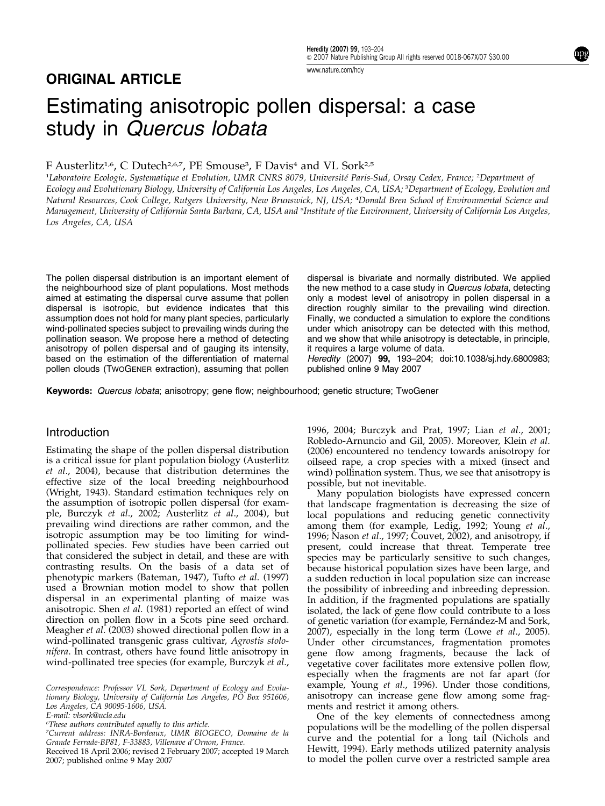# ORIGINAL ARTICLE

# Estimating anisotropic pollen dispersal: a case study in Quercus lobata

## F Austerlitz<sup>1,6</sup>, C Dutech<sup>2,6,7</sup>, PE Smouse<sup>3</sup>, F Davis<sup>4</sup> and VL Sork<sup>2,5</sup>

<sup>1</sup>Laboratoire Ecologie, Systematique et Evolution, UMR CNRS 8079, Université Paris-Sud, Orsay Cedex, France; <sup>2</sup>Department of Ecology and Evolutionary Biology, University of California Los Angeles, Los Angeles, CA, USA; <sup>3</sup>Department of Ecology, Evolution and Natural Resources, Cook College, Rutgers University, New Brunswick, NJ, USA; <sup>4</sup> Donald Bren School of Environmental Science and Management, University of California Santa Barbara, CA, USA and <sup>5</sup>Institute of the Environment, University of California Los Angeles, Los Angeles, CA, USA

The pollen dispersal distribution is an important element of the neighbourhood size of plant populations. Most methods aimed at estimating the dispersal curve assume that pollen dispersal is isotropic, but evidence indicates that this assumption does not hold for many plant species, particularly wind-pollinated species subject to prevailing winds during the pollination season. We propose here a method of detecting anisotropy of pollen dispersal and of gauging its intensity, based on the estimation of the differentiation of maternal pollen clouds (TWOGENER extraction), assuming that pollen

dispersal is bivariate and normally distributed. We applied the new method to a case study in Quercus lobata, detecting only a modest level of anisotropy in pollen dispersal in a direction roughly similar to the prevailing wind direction. Finally, we conducted a simulation to explore the conditions under which anisotropy can be detected with this method, and we show that while anisotropy is detectable, in principle, it requires a large volume of data.

Heredity (2007) 99, 193–204; doi:10.1038/sj.hdy.6800983; published online 9 May 2007

Keywords: Quercus lobata; anisotropy; gene flow; neighbourhood; genetic structure; TwoGener

### **Introduction**

Estimating the shape of the pollen dispersal distribution is a critical issue for plant population biology (Austerlitz et al., 2004), because that distribution determines the effective size of the local breeding neighbourhood (Wright, 1943). Standard estimation techniques rely on the assumption of isotropic pollen dispersal (for example, Burczyk et al., 2002; Austerlitz et al., 2004), but prevailing wind directions are rather common, and the isotropic assumption may be too limiting for windpollinated species. Few studies have been carried out that considered the subject in detail, and these are with contrasting results. On the basis of a data set of phenotypic markers (Bateman, 1947), Tufto et al. (1997) used a Brownian motion model to show that pollen dispersal in an experimental planting of maize was anisotropic. Shen et al. (1981) reported an effect of wind direction on pollen flow in a Scots pine seed orchard. Meagher et al. (2003) showed directional pollen flow in a wind-pollinated transgenic grass cultivar, Agrostis stolonifera. In contrast, others have found little anisotropy in wind-pollinated tree species (for example, Burczyk et al.,

1996, 2004; Burczyk and Prat, 1997; Lian et al., 2001; Robledo-Arnuncio and Gil, 2005). Moreover, Klein et al. (2006) encountered no tendency towards anisotropy for oilseed rape, a crop species with a mixed (insect and wind) pollination system. Thus, we see that anisotropy is possible, but not inevitable.

Many population biologists have expressed concern that landscape fragmentation is decreasing the size of local populations and reducing genetic connectivity among them (for example, Ledig, 1992; Young et al., 1996; Nason et al., 1997; Couvet,  $2002$ ), and anisotropy, if present, could increase that threat. Temperate tree species may be particularly sensitive to such changes, because historical population sizes have been large, and a sudden reduction in local population size can increase the possibility of inbreeding and inbreeding depression. In addition, if the fragmented populations are spatially isolated, the lack of gene flow could contribute to a loss of genetic variation (for example, Fernández-M and Sork, 2007), especially in the long term (Lowe et al., 2005). Under other circumstances, fragmentation promotes gene flow among fragments, because the lack of vegetative cover facilitates more extensive pollen flow, especially when the fragments are not far apart (for example, Young et al., 1996). Under those conditions, anisotropy can increase gene flow among some fragments and restrict it among others.

One of the key elements of connectedness among populations will be the modelling of the pollen dispersal curve and the potential for a long tail (Nichols and Hewitt, 1994). Early methods utilized paternity analysis Received 18 April 2006; revised 2 February 2007; accepted 19 March Fewitt, 1994). Early methods utilized paternity analysis<br>2007; published online 9 May 2007

Correspondence: Professor VL Sork, Department of Ecology and Evolutionary Biology, University of California Los Angeles, PO Box 951606, Los Angeles, CA 90095-1606, USA.

E-mail: vlsork@ucla.edu

<sup>6</sup> These authors contributed equally to this article.

<sup>7</sup> Current address: INRA-Bordeaux, UMR BIOGECO, Domaine de la Grande Ferrade-BP81, F-33883, Villenave d'Ornon, France.

<sup>2007;</sup> published online 9 May 2007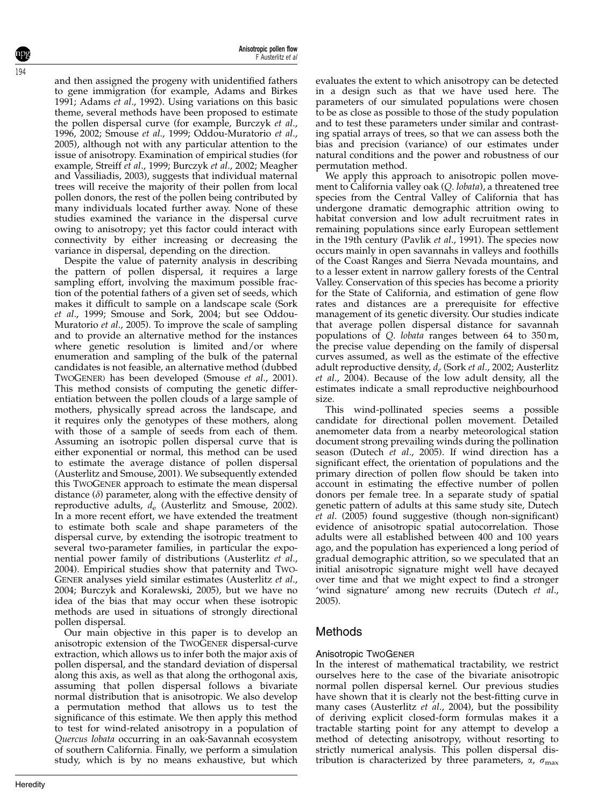and then assigned the progeny with unidentified fathers to gene immigration (for example, Adams and Birkes 1991; Adams et al., 1992). Using variations on this basic theme, several methods have been proposed to estimate the pollen dispersal curve (for example, Burczyk et al., 1996, 2002; Smouse et al., 1999; Oddou-Muratorio et al., 2005), although not with any particular attention to the issue of anisotropy. Examination of empirical studies (for example, Streiff et al., 1999; Burczyk et al., 2002; Meagher and Vassiliadis, 2003), suggests that individual maternal trees will receive the majority of their pollen from local pollen donors, the rest of the pollen being contributed by many individuals located further away. None of these studies examined the variance in the dispersal curve owing to anisotropy; yet this factor could interact with connectivity by either increasing or decreasing the variance in dispersal, depending on the direction.

Despite the value of paternity analysis in describing the pattern of pollen dispersal, it requires a large sampling effort, involving the maximum possible fraction of the potential fathers of a given set of seeds, which makes it difficult to sample on a landscape scale (Sork et al., 1999; Smouse and Sork, 2004; but see Oddou-Muratorio et al., 2005). To improve the scale of sampling and to provide an alternative method for the instances where genetic resolution is limited and/or where enumeration and sampling of the bulk of the paternal candidates is not feasible, an alternative method (dubbed TWOGENER) has been developed (Smouse et al., 2001). This method consists of computing the genetic differentiation between the pollen clouds of a large sample of mothers, physically spread across the landscape, and it requires only the genotypes of these mothers, along with those of a sample of seeds from each of them. Assuming an isotropic pollen dispersal curve that is either exponential or normal, this method can be used to estimate the average distance of pollen dispersal (Austerlitz and Smouse, 2001). We subsequently extended this TWOGENER approach to estimate the mean dispersal distance  $(\delta)$  parameter, along with the effective density of reproductive adults,  $d_e$  (Austerlitz and Smouse, 2002). In a more recent effort, we have extended the treatment to estimate both scale and shape parameters of the dispersal curve, by extending the isotropic treatment to several two-parameter families, in particular the exponential power family of distributions (Austerlitz et al., 2004). Empirical studies show that paternity and TWO-GENER analyses yield similar estimates (Austerlitz et al., 2004; Burczyk and Koralewski, 2005), but we have no idea of the bias that may occur when these isotropic methods are used in situations of strongly directional pollen dispersal.

Our main objective in this paper is to develop an anisotropic extension of the TWOGENER dispersal-curve extraction, which allows us to infer both the major axis of pollen dispersal, and the standard deviation of dispersal along this axis, as well as that along the orthogonal axis, assuming that pollen dispersal follows a bivariate normal distribution that is anisotropic. We also develop a permutation method that allows us to test the significance of this estimate. We then apply this method to test for wind-related anisotropy in a population of Quercus lobata occurring in an oak-Savannah ecosystem of southern California. Finally, we perform a simulation study, which is by no means exhaustive, but which

evaluates the extent to which anisotropy can be detected in a design such as that we have used here. The parameters of our simulated populations were chosen to be as close as possible to those of the study population and to test these parameters under similar and contrasting spatial arrays of trees, so that we can assess both the bias and precision (variance) of our estimates under natural conditions and the power and robustness of our permutation method.

We apply this approach to anisotropic pollen movement to California valley oak (Q. lobata), a threatened tree species from the Central Valley of California that has undergone dramatic demographic attrition owing to habitat conversion and low adult recruitment rates in remaining populations since early European settlement in the 19th century (Pavlik et al., 1991). The species now occurs mainly in open savannahs in valleys and foothills of the Coast Ranges and Sierra Nevada mountains, and to a lesser extent in narrow gallery forests of the Central Valley. Conservation of this species has become a priority for the State of California, and estimation of gene flow rates and distances are a prerequisite for effective management of its genetic diversity. Our studies indicate that average pollen dispersal distance for savannah populations of Q. lobata ranges between 64 to 350 m, the precise value depending on the family of dispersal curves assumed, as well as the estimate of the effective adult reproductive density,  $d_e$  (Sork et al., 2002; Austerlitz et al., 2004). Because of the low adult density, all the estimates indicate a small reproductive neighbourhood size.

This wind-pollinated species seems a possible candidate for directional pollen movement. Detailed anemometer data from a nearby meteorological station document strong prevailing winds during the pollination season (Dutech et al., 2005). If wind direction has a significant effect, the orientation of populations and the primary direction of pollen flow should be taken into account in estimating the effective number of pollen donors per female tree. In a separate study of spatial genetic pattern of adults at this same study site, Dutech et al. (2005) found suggestive (though non-significant) evidence of anisotropic spatial autocorrelation. Those adults were all established between 400 and 100 years ago, and the population has experienced a long period of gradual demographic attrition, so we speculated that an initial anisotropic signature might well have decayed over time and that we might expect to find a stronger 'wind signature' among new recruits (Dutech et al., 2005).

### Methods

#### Anisotropic TWOGENER

In the interest of mathematical tractability, we restrict ourselves here to the case of the bivariate anisotropic normal pollen dispersal kernel. Our previous studies have shown that it is clearly not the best-fitting curve in many cases (Austerlitz et al., 2004), but the possibility of deriving explicit closed-form formulas makes it a tractable starting point for any attempt to develop a method of detecting anisotropy, without resorting to strictly numerical analysis. This pollen dispersal distribution is characterized by three parameters,  $\alpha$ ,  $\sigma_{\text{max}}$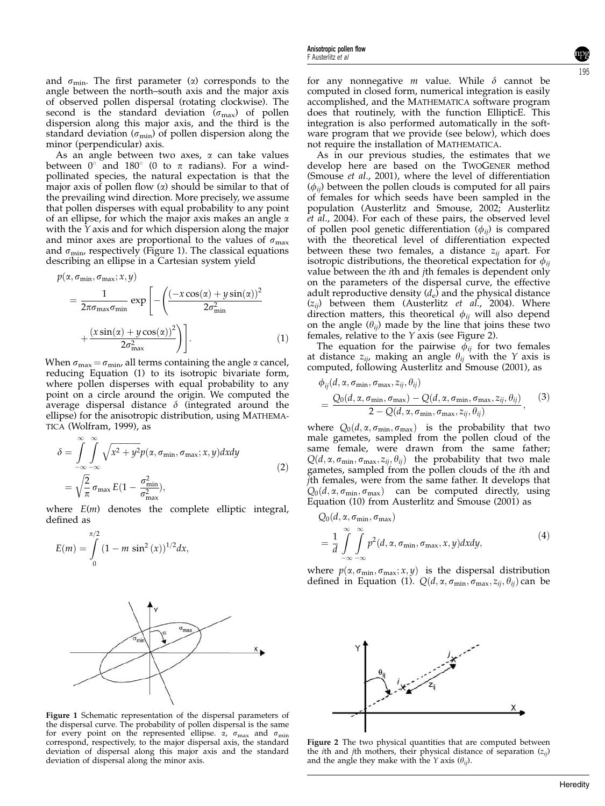195

and  $\sigma_{\min}$ . The first parameter ( $\alpha$ ) corresponds to the angle between the north–south axis and the major axis of observed pollen dispersal (rotating clockwise). The second is the standard deviation  $(\sigma_{\text{max}})$  of pollen dispersion along this major axis, and the third is the standard deviation ( $\sigma_{\text{min}}$ ) of pollen dispersion along the minor (perpendicular) axis.

As an angle between two axes,  $\alpha$  can take values between  $0^{\circ}$  and  $180^{\circ}$  (0 to  $\pi$  radians). For a windpollinated species, the natural expectation is that the major axis of pollen flow  $(\alpha)$  should be similar to that of the prevailing wind direction. More precisely, we assume that pollen disperses with equal probability to any point of an ellipse, for which the major axis makes an angle  $\alpha$ with the *Y* axis and for which dispersion along the major and minor axes are proportional to the values of  $\sigma_{\text{max}}$ and  $\sigma_{\min}$ , respectively (Figure 1). The classical equations describing an ellipse in a Cartesian system yield

$$
p(\alpha, \sigma_{\min}, \sigma_{\max}; x, y)
$$
  
=  $\frac{1}{2\pi\sigma_{\max}\sigma_{\min}} \exp\left[-\left(\frac{(-x\cos(\alpha) + y\sin(\alpha))^2}{2\sigma_{\min}^2} + \frac{(x\sin(\alpha) + y\cos(\alpha))^2}{2\sigma_{\max}^2}\right)\right].$  (1)

When  $\sigma_{\text{max}} = \sigma_{\text{min}}$ , all terms containing the angle  $\alpha$  cancel, reducing Equation (1) to its isotropic bivariate form, where pollen disperses with equal probability to any point on a circle around the origin. We computed the average dispersal distance  $\delta$  (integrated around the ellipse) for the anisotropic distribution, using MATHEMA-TICA (Wolfram, 1999), as

$$
\delta = \int_{-\infty}^{\infty} \int_{-\infty}^{\infty} \sqrt{x^2 + y^2} p(\alpha, \sigma_{\min}, \sigma_{\max}; x, y) dx dy
$$
  
=  $\sqrt{\frac{2}{\pi}} \sigma_{\max} E(1 - \frac{\sigma_{\min}^2}{\sigma_{\max}^2}),$  (2)

where  $E(m)$  denotes the complete elliptic integral, defined as





Figure 1 Schematic representation of the dispersal parameters of the dispersal curve. The probability of pollen dispersal is the same for every point on the represented ellipse.  $\alpha$ ,  $\sigma_{\text{max}}$  and  $\sigma_{\text{min}}$ correspond, respectively, to the major dispersal axis, the standard deviation of dispersal along this major axis and the standard deviation of dispersal along the minor axis.

for any nonnegative *m* value. While  $\delta$  cannot be computed in closed form, numerical integration is easily accomplished, and the MATHEMATICA software program does that routinely, with the function EllipticE. This integration is also performed automatically in the software program that we provide (see below), which does not require the installation of MATHEMATICA.

As in our previous studies, the estimates that we develop here are based on the TWOGENER method (Smouse et al., 2001), where the level of differentiation  $(\phi_{ii})$  between the pollen clouds is computed for all pairs of females for which seeds have been sampled in the population (Austerlitz and Smouse, 2002; Austerlitz et al., 2004). For each of these pairs, the observed level of pollen pool genetic differentiation  $(\phi_{ii})$  is compared with the theoretical level of differentiation expected between these two females, a distance  $z_{ij}$  apart. For isotropic distributions, the theoretical expectation for  $\phi_{ij}$ value between the ith and jth females is dependent only on the parameters of the dispersal curve, the effective adult reproductive density  $(d_e)$  and the physical distance  $(z_{ij})$  between them (Austerlitz et al., 2004). Where direction matters, this theoretical  $\phi_{ij}$  will also depend on the angle  $(\theta_{ii})$  made by the line that joins these two females, relative to the Y axis (see Figure 2).

The equation for the pairwise  $\phi_{ij}$  for two females at distance  $z_{ij}$ , making an angle  $\theta_{ij}$  with the Y axis is computed, following Austerlitz and Smouse (2001), as

$$
\phi_{ij}(d, \alpha, \sigma_{\min}, \sigma_{\max}, z_{ij}, \theta_{ij})
$$
\n
$$
= \frac{Q_0(d, \alpha, \sigma_{\min}, \sigma_{\max}) - Q(d, \alpha, \sigma_{\min}, \sigma_{\max}, z_{ij}, \theta_{ij})}{2 - Q(d, \alpha, \sigma_{\min}, \sigma_{\max}, z_{ij}, \theta_{ij})},
$$
\n(3)

where  $Q_0(d, \alpha, \sigma_{\min}, \sigma_{\max})$  is the probability that two male gametes, sampled from the pollen cloud of the same female, were drawn from the same father;  $Q(d, \alpha, \sigma_{\min}, \sigma_{\max}, z_{ij}, \theta_{ij})$  the probability that two male gametes, sampled from the pollen clouds of the ith and jth females, were from the same father. It develops that  $Q_0(d, \alpha, \sigma_{\min}, \sigma_{\max})$  can be computed directly, using Equation (10) from Austerlitz and Smouse (2001) as

$$
Q_0(d, \alpha, \sigma_{\min}, \sigma_{\max})
$$
  
= 
$$
\frac{1}{d} \int_{-\infty}^{\infty} \int_{-\infty}^{\infty} p^2(d, \alpha, \sigma_{\min}, \sigma_{\max}, x, y) dx dy,
$$
 (4)

where  $p(\alpha, \sigma_{\min}, \sigma_{\max}; x, y)$  is the dispersal distribution defined in Equation (1).  $Q(d, \alpha, \sigma_{\min}, \sigma_{\max}, z_{ij}, \theta_{ij})$  can be



Figure 2 The two physical quantities that are computed between the *i*th and *j*th mothers, their physical distance of separation  $(z_{ij})$ and the angle they make with the *Y* axis  $(\theta_{ij})$ .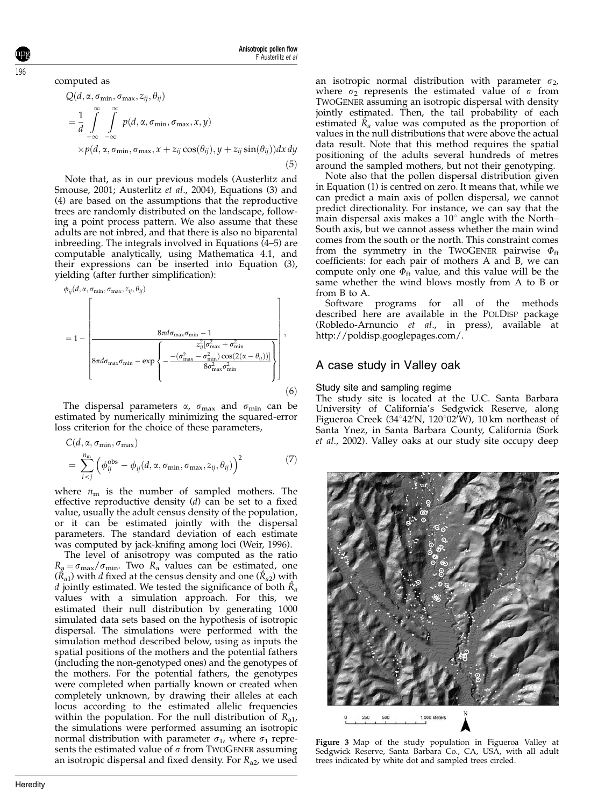computed as

$$
Q(d, \alpha, \sigma_{\min}, \sigma_{\max}, z_{ij}, \theta_{ij})
$$
  
=  $\frac{1}{d} \int_{-\infty}^{\infty} \int_{-\infty}^{\infty} p(d, \alpha, \sigma_{\min}, \sigma_{\max}, x, y)$   
 $\times p(d, \alpha, \sigma_{\min}, \sigma_{\max}, x + z_{ij} \cos(\theta_{ij}), y + z_{ij} \sin(\theta_{ij})) dx dy$   
(5)

Note that, as in our previous models (Austerlitz and Smouse, 2001; Austerlitz et al., 2004), Equations (3) and (4) are based on the assumptions that the reproductive trees are randomly distributed on the landscape, following a point process pattern. We also assume that these adults are not inbred, and that there is also no biparental inbreeding. The integrals involved in Equations (4–5) are computable analytically, using Mathematica 4.1, and their expressions can be inserted into Equation (3), yielding (after further simplification):



The dispersal parameters  $\alpha$ ,  $\sigma_{\text{max}}$  and  $\sigma_{\text{min}}$  can be estimated by numerically minimizing the squared-error loss criterion for the choice of these parameters,

$$
C(d, \alpha, \sigma_{\min}, \sigma_{\max})
$$
  
= 
$$
\sum_{i < j}^{n_{\max}} \left( \phi_{ij}^{\text{obs}} - \phi_{ij}(d, \alpha, \sigma_{\min}, \sigma_{\max}, z_{ij}, \theta_{ij}) \right)^2
$$
 (7)

where  $n_m$  is the number of sampled mothers. The effective reproductive density  $(d)$  can be set to a fixed value, usually the adult census density of the population, or it can be estimated jointly with the dispersal parameters. The standard deviation of each estimate was computed by jack-knifing among loci (Weir, 1996).

The level of anisotropy was computed as the ratio  $R_a = \sigma_{\text{max}}/\sigma_{\text{min}}$ . Two  $R_a$  values can be estimated, one  $(\tilde{R}_{a1})$  with d fixed at the census density and one  $(\tilde{R}_{a2})$  with d jointly estimated. We tested the significance of both  $R_a$ values with a simulation approach. For this, we estimated their null distribution by generating 1000 simulated data sets based on the hypothesis of isotropic dispersal. The simulations were performed with the simulation method described below, using as inputs the spatial positions of the mothers and the potential fathers (including the non-genotyped ones) and the genotypes of the mothers. For the potential fathers, the genotypes were completed when partially known or created when completely unknown, by drawing their alleles at each locus according to the estimated allelic frequencies within the population. For the null distribution of  $R_{a1}$ , the simulations were performed assuming an isotropic normal distribution with parameter  $\sigma_1$ , where  $\sigma_1$  represents the estimated value of  $\sigma$  from TWOGENER assuming an isotropic dispersal and fixed density. For  $R_{a2}$ , we used an isotropic normal distribution with parameter  $\sigma_{2}$ , where  $\sigma_2$  represents the estimated value of  $\sigma$  from TWOGENER assuming an isotropic dispersal with density jointly estimated. Then, the tail probability of each estimated  $\hat{R}_a$  value was computed as the proportion of values in the null distributions that were above the actual data result. Note that this method requires the spatial positioning of the adults several hundreds of metres around the sampled mothers, but not their genotyping.

Note also that the pollen dispersal distribution given in Equation (1) is centred on zero. It means that, while we can predict a main axis of pollen dispersal, we cannot predict directionality. For instance, we can say that the main dispersal axis makes a  $10^{\circ}$  angle with the North– South axis, but we cannot assess whether the main wind comes from the south or the north. This constraint comes from the symmetry in the TWOGENER pairwise  $\Phi_{\text{ft}}$ coefficients: for each pair of mothers A and B, we can compute only one  $\Phi_{\text{ft}}$  value, and this value will be the same whether the wind blows mostly from A to B or from B to A.

Software programs for all of the methods described here are available in the POLDISP package (Robledo-Arnuncio et al., in press), available at http://poldisp.googlepages.com/.

## A case study in Valley oak

#### Study site and sampling regime

The study site is located at the U.C. Santa Barbara University of California's Sedgwick Reserve, along Figueroa Creek (34°42'N, 120°02'W), 10km northeast of Santa Ynez, in Santa Barbara County, California (Sork et al., 2002). Valley oaks at our study site occupy deep



Figure 3 Map of the study population in Figueroa Valley at Sedgwick Reserve, Santa Barbara Co., CA, USA, with all adult trees indicated by white dot and sampled trees circled.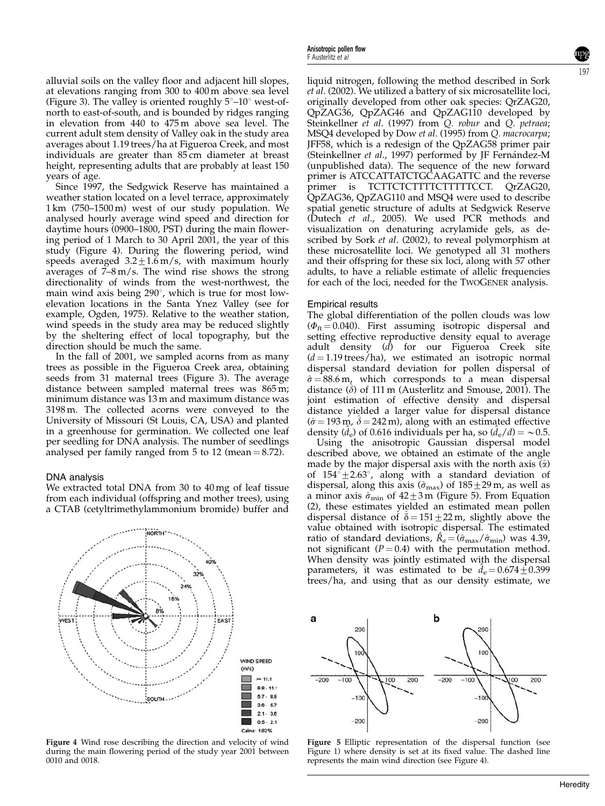alluvial soils on the valley floor and adjacent hill slopes, at elevations ranging from 300 to 400 m above sea level (Figure 3). The valley is oriented roughly  $5^{\circ}-10^{\circ}$  west-ofnorth to east-of-south, and is bounded by ridges ranging in elevation from 440 to 475 m above sea level. The current adult stem density of Valley oak in the study area averages about 1.19 trees/ha at Figueroa Creek, and most individuals are greater than 85 cm diameter at breast height, representing adults that are probably at least 150 years of age.

Since 1997, the Sedgwick Reserve has maintained a weather station located on a level terrace, approximately 1 km (750–1500 m) west of our study population. We analysed hourly average wind speed and direction for daytime hours (0900–1800, PST) during the main flowering period of 1 March to 30 April 2001, the year of this study (Figure 4). During the flowering period, wind speeds averaged  $3.2 \pm 1.6$  m/s, with maximum hourly averages of  $\frac{7}{8}$  m/s. The wind rise shows the strong directionality of winds from the west-northwest, the main wind axis being  $290^{\circ}$ , which is true for most lowelevation locations in the Santa Ynez Valley (see for example, Ogden, 1975). Relative to the weather station, wind speeds in the study area may be reduced slightly by the sheltering effect of local topography, but the direction should be much the same.

In the fall of 2001, we sampled acorns from as many trees as possible in the Figueroa Creek area, obtaining seeds from 31 maternal trees (Figure 3). The average distance between sampled maternal trees was 865 m; minimum distance was 13 m and maximum distance was 3198 m. The collected acorns were conveyed to the University of Missouri (St Louis, CA, USA) and planted in a greenhouse for germination. We collected one leaf per seedling for DNA analysis. The number of seedlings analysed per family ranged from 5 to 12 (mean  $= 8.72$ ).

#### DNA analysis

We extracted total DNA from 30 to 40 mg of leaf tissue from each individual (offspring and mother trees), using a CTAB (cetyltrimethylammonium bromide) buffer and



Figure 4 Wind rose describing the direction and velocity of wind during the main flowering period of the study year 2001 between 0010 and 0018.

liquid nitrogen, following the method described in Sork et al. (2002). We utilized a battery of six microsatellite loci, originally developed from other oak species: QrZAG20, QpZAG36, QpZAG46 and QpZAG110 developed by Steinkellner et al. (1997) from Q. robur and Q. petraea; MSQ4 developed by Dow et al. (1995) from Q. macrocarpa; JFF58, which is a redesign of the QpZAG58 primer pair (Steinkellner et al., 1997) performed by JF Fernández-M (unpublished data). The sequence of the new forward primer is ATCCATTATCTGCAAGATTC and the reverse primer is TCTTCTCTTTTCTTTTTCCT. QrZAG20, QpZAG36, QpZAG110 and MSQ4 were used to describe spatial genetic structure of adults at Sedgwick Reserve (Dutech et al., 2005). We used PCR methods and visualization on denaturing acrylamide gels, as described by Sork et al. (2002), to reveal polymorphism at these microsatellite loci. We genotyped all 31 mothers and their offspring for these six loci, along with 57 other adults, to have a reliable estimate of allelic frequencies for each of the loci, needed for the TWOGENER analysis.

#### Empirical results

The global differentiation of the pollen clouds was low  $(\Phi_{\text{ft}} = 0.040)$ . First assuming isotropic dispersal and setting effective reproductive density equal to average adult density  $(d)$  for our Figueroa Creek site  $(d = 1.19$  trees/ha), we estimated an isotropic normal dispersal standard deviation for pollen dispersal of  $\hat{\sigma} = 88.6 \text{ m}$ , which corresponds to a mean dispersal distance  $(\delta)$  of 111 m (Austerlitz and Smouse, 2001). The joint estimation of effective density and dispersal distance yielded a larger value for dispersal distance  $(\hat{\sigma} = 193 \,\text{m}, \delta = 242 \,\text{m})$ , along with an estimated effective density ( $\hat{d}_{e}$ ) of 0.616 individuals per ha, so ( $\hat{d}_{e}/d$ ) =  $\sim$  0.5.

Using the anisotropic Gaussian dispersal model described above, we obtained an estimate of the angle made by the major dispersal axis with the north axis  $(\hat{\alpha})$ of  $154^\circ \pm 2.63^\circ$ , along with a standard deviation of dispersal, along this axis ( $\hat{\sigma}_{\text{max}}$ ) of 185 $\pm$ 29 m, as well as a minor axis  $\hat{\sigma}_{\text{min}}$  of  $42\pm3$  m (Figure 5). From Equation (2), these estimates yielded an estimated mean pollen dispersal distance of  $\delta = 151 + 22$  m, slightly above the value obtained with isotropic dispersal. The estimated ratio of standard deviations,  $\ddot{R}_a = (\hat{\sigma}_{\text{max}}/\hat{\sigma}_{\text{min}})$  was 4.39, not significant ( $P = 0.4$ ) with the permutation method. When density was jointly estimated with the dispersal parameters, it was estimated to be  $\hat{d}_e = 0.674 \pm 0.399$ trees/ha, and using that as our density estimate, we



Figure 5 Elliptic representation of the dispersal function (see Figure 1) where density is set at its fixed value. The dashed line represents the main wind direction (see Figure 4).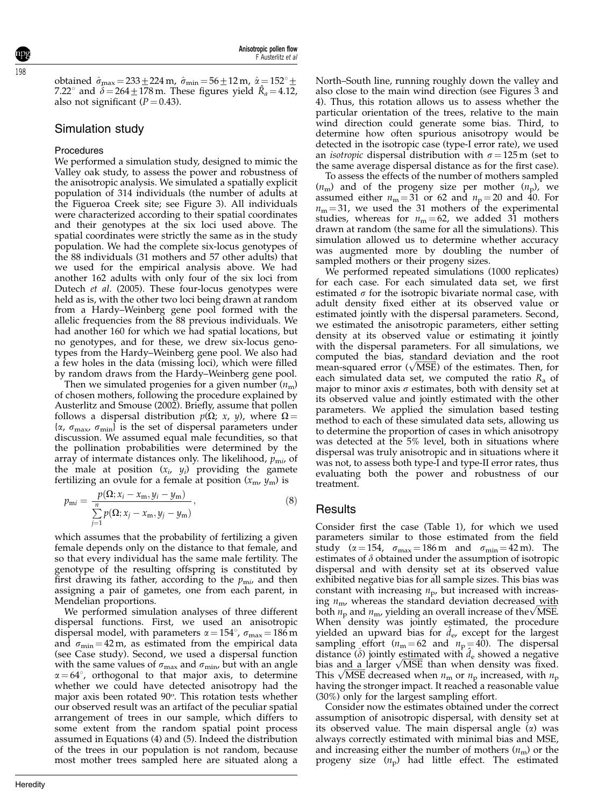obtained  $\hat{\sigma}_{\text{max}} = 233 \pm 224 \text{ m}$ ,  $\hat{\sigma}_{\text{min}} = 56 \pm 12 \text{ m}$ ,  $\hat{\alpha} = 152^{\circ} \pm 12 \text{ m}$ 7.22° and  $\hat{\delta} = 264 \pm 178$  m. These figures yield  $\hat{R}_a = 4.12$ , also not significant ( $P = 0.43$ ).

#### Simulation study

#### Procedures

We performed a simulation study, designed to mimic the Valley oak study, to assess the power and robustness of the anisotropic analysis. We simulated a spatially explicit population of 314 individuals (the number of adults at the Figueroa Creek site; see Figure 3). All individuals were characterized according to their spatial coordinates and their genotypes at the six loci used above. The spatial coordinates were strictly the same as in the study population. We had the complete six-locus genotypes of the 88 individuals (31 mothers and 57 other adults) that we used for the empirical analysis above. We had another 162 adults with only four of the six loci from Dutech et al. (2005). These four-locus genotypes were held as is, with the other two loci being drawn at random from a Hardy–Weinberg gene pool formed with the allelic frequencies from the 88 previous individuals. We had another 160 for which we had spatial locations, but no genotypes, and for these, we drew six-locus genotypes from the Hardy–Weinberg gene pool. We also had a few holes in the data (missing loci), which were filled by random draws from the Hardy–Weinberg gene pool.

Then we simulated progenies for a given number  $(n<sub>m</sub>)$ of chosen mothers, following the procedure explained by Austerlitz and Smouse (2002). Briefly, assume that pollen follows a dispersal distribution  $p(\Omega; x, y)$ , where  $\Omega =$  $\{\alpha, \sigma_{\text{max}}, \sigma_{\text{min}}\}$  is the set of dispersal parameters under discussion. We assumed equal male fecundities, so that the pollination probabilities were determined by the array of intermate distances only. The likelihood,  $p_{\text{min}}$  of the male at position  $(x_i, y_i)$  providing the gamete fertilizing an ovule for a female at position  $(x_m, y_m)$  is

$$
p_{\rm mi} = \frac{p(\Omega; x_i - x_{\rm m}, y_i - y_{\rm m})}{\sum\limits_{j=1}^{n} p(\Omega; x_j - x_{\rm m}, y_j - y_{\rm m})},\tag{8}
$$

which assumes that the probability of fertilizing a given female depends only on the distance to that female, and so that every individual has the same male fertility. The genotype of the resulting offspring is constituted by first drawing its father, according to the  $p_{\text{mi}}$ , and then assigning a pair of gametes, one from each parent, in Mendelian proportions.

We performed simulation analyses of three different dispersal functions. First, we used an anisotropic dispersal model, with parameters  $\alpha = 154^{\circ}$ ,  $\sigma_{\text{max}} = 186 \text{ m}$ and  $\sigma_{\min} = 42 \text{ m}$ , as estimated from the empirical data (see Case study). Second, we used a dispersal function with the same values of  $\sigma_{\text{max}}$  and  $\sigma_{\text{min}}$ , but with an angle  $\alpha = 64^\circ$ , orthogonal to that major axis, to determine whether we could have detected anisotropy had the major axis been rotated 90°. This rotation tests whether our observed result was an artifact of the peculiar spatial arrangement of trees in our sample, which differs to some extent from the random spatial point process assumed in Equations (4) and (5). Indeed the distribution of the trees in our population is not random, because most mother trees sampled here are situated along a

North–South line, running roughly down the valley and also close to the main wind direction (see Figures 3 and 4). Thus, this rotation allows us to assess whether the particular orientation of the trees, relative to the main wind direction could generate some bias. Third, to determine how often spurious anisotropy would be detected in the isotropic case (type-I error rate), we used an *isotropic* dispersal distribution with  $\sigma = 125$  m (set to the same average dispersal distance as for the first case).

To assess the effects of the number of mothers sampled  $(n<sub>m</sub>)$  and of the progeny size per mother  $(n<sub>p</sub>)$ , we assumed either  $n_m = 31$  or 62 and  $n_p = 20$  and 40. For  $n_{\rm m}$   $=$  31, we used the 31 mothers of the experimental studies, whereas for  $n_m = 62$ , we added 31 mothers drawn at random (the same for all the simulations). This simulation allowed us to determine whether accuracy was augmented more by doubling the number of sampled mothers or their progeny sizes.

We performed repeated simulations (1000 replicates) for each case. For each simulated data set, we first estimated  $\sigma$  for the isotropic bivariate normal case, with adult density fixed either at its observed value or estimated jointly with the dispersal parameters. Second, we estimated the anisotropic parameters, either setting density at its observed value or estimating it jointly with the dispersal parameters. For all simulations, we computed the bias, standard deviation and the root computed the bias, standard deviation and the root<br>mean-squared error ( $\sqrt{\text{MSE}}$ ) of the estimates. Then, for each simulated data set, we computed the ratio  $R_a$  of major to minor axis  $\sigma$  estimates, both with density set at its observed value and jointly estimated with the other parameters. We applied the simulation based testing method to each of these simulated data sets, allowing us to determine the proportion of cases in which anisotropy was detected at the 5% level, both in situations where dispersal was truly anisotropic and in situations where it was not, to assess both type-I and type-II error rates, thus evaluating both the power and robustness of our treatment.

#### Results

Consider first the case (Table 1), for which we used parameters similar to those estimated from the field study ( $\alpha = 154$ ,  $\sigma_{\text{max}} = 186 \text{ m}$  and  $\sigma_{\text{min}} = 42 \text{ m}$ ). The estimates of  $\delta$  obtained under the assumption of isotropic dispersal and with density set at its observed value exhibited negative bias for all sample sizes. This bias was constant with increasing  $n_{\rm p}$ , but increased with increasing  $n_{\rm mv}$  whereas the standard deviation decreased with ing  $n_{\rm m}$ , whereas the standard deviation decreased with<br>both  $n_{\rm p}$  and  $n_{\rm m}$ , yielding an overall increase of the $\sqrt{\rm MSE}$ . When density was jointly estimated, the procedure yielded an upward bias for  $\hat{d}_{e}$ , except for the largest sampling effort ( $n_m = 62$  and  $n_p = 40$ ). The dispersal distance  $(\delta)$  jointly estimated with  $\hat{d}_e$  showed a negative distance ( $\delta$ ) jointly estimated with  $d_e$  showed a negative<br>bias an<u>d a l</u>arger  $\sqrt{\text{MSE}}$  than when density was fixed. bias an<u>d a</u> larger  $\sqrt{MSE}$  than when density was fixed.<br>This  $\sqrt{MSE}$  decreased when  $n_m$  or  $n_p$  increased, with  $n_p$ having the stronger impact. It reached a reasonable value (30%) only for the largest sampling effort.

Consider now the estimates obtained under the correct assumption of anisotropic dispersal, with density set at its observed value. The main dispersal angle  $(\alpha)$  was always correctly estimated with minimal bias and MSE, and increasing either the number of mothers  $(n<sub>m</sub>)$  or the progeny size  $(n_p)$  had little effect. The estimated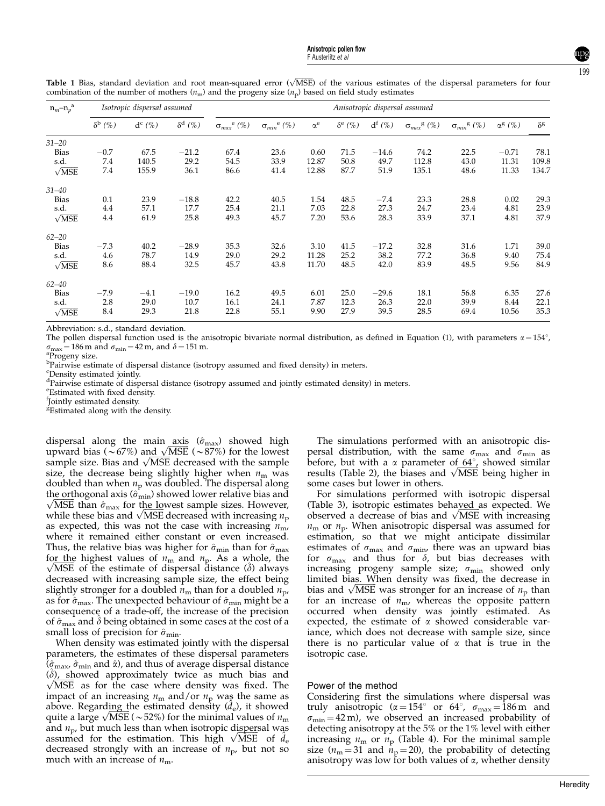Table 1 Bias, standard deviation and root mean-squared error ( $\sqrt{\text{MSE}}$ ) of the various estimates of the dispersal parameters for four combination of the number of mothers  $(n_m)$  and the progeny size  $(n_p)$  based on field study estimates

| $n_m - n_p$ <sup>a</sup> | Isotropic dispersal assumed |             |                | Anisotropic dispersal assumed |                              |                  |                |           |                                 |                                 |                |            |
|--------------------------|-----------------------------|-------------|----------------|-------------------------------|------------------------------|------------------|----------------|-----------|---------------------------------|---------------------------------|----------------|------------|
|                          | $\delta^{\rm b}$ (%)        | $d^{c}(\%)$ | $\delta^d$ (%) | $\sigma_{max}^{\ e}$ (%)      | $\sigma_{min}^{\quad e}$ (%) | $\alpha^{\rm e}$ | $\delta^e$ (%) | $d^f$ (%) | $\sigma_{max}$ <sup>g</sup> (%) | $\sigma_{min}$ <sup>8</sup> (%) | $\alpha^g$ (%) | $\delta^g$ |
| $31 - 20$                |                             |             |                |                               |                              |                  |                |           |                                 |                                 |                |            |
| <b>Bias</b>              | $-0.7$                      | 67.5        | $-21.2$        | 67.4                          | 23.6                         | 0.60             | 71.5           | $-14.6$   | 74.2                            | 22.5                            | $-0.71$        | 78.1       |
| s.d.                     | 7.4                         | 140.5       | 29.2           | 54.5                          | 33.9                         | 12.87            | 50.8           | 49.7      | 112.8                           | 43.0                            | 11.31          | 109.8      |
| $\sqrt{\text{MSE}}$      | 7.4                         | 155.9       | 36.1           | 86.6                          | 41.4                         | 12.88            | 87.7           | 51.9      | 135.1                           | 48.6                            | 11.33          | 134.7      |
| $31 - 40$                |                             |             |                |                               |                              |                  |                |           |                                 |                                 |                |            |
| <b>Bias</b>              | 0.1                         | 23.9        | $-18.8$        | 42.2                          | 40.5                         | 1.54             | 48.5           | $-7.4$    | 23.3                            | 28.8                            | 0.02           | 29.3       |
| s.d.                     | 4.4                         | 57.1        | 17.7           | 25.4                          | 21.1                         | 7.03             | 22.8           | 27.3      | 24.7                            | 23.4                            | 4.81           | 23.9       |
| $\sqrt{\text{MSE}}$      | 4.4                         | 61.9        | 25.8           | 49.3                          | 45.7                         | 7.20             | 53.6           | 28.3      | 33.9                            | 37.1                            | 4.81           | 37.9       |
| $62 - 20$                |                             |             |                |                               |                              |                  |                |           |                                 |                                 |                |            |
| <b>Bias</b>              | $-7.3$                      | 40.2        | $-28.9$        | 35.3                          | 32.6                         | 3.10             | 41.5           | $-17.2$   | 32.8                            | 31.6                            | 1.71           | 39.0       |
| s.d.                     | 4.6                         | 78.7        | 14.9           | 29.0                          | 29.2                         | 11.28            | 25.2           | 38.2      | 77.2                            | 36.8                            | 9.40           | 75.4       |
| $\sqrt{\text{MSE}}$      | 8.6                         | 88.4        | 32.5           | 45.7                          | 43.8                         | 11.70            | 48.5           | 42.0      | 83.9                            | 48.5                            | 9.56           | 84.9       |
| $62 - 40$                |                             |             |                |                               |                              |                  |                |           |                                 |                                 |                |            |
| <b>Bias</b>              | $-7.9$                      | $-4.1$      | $-19.0$        | 16.2                          | 49.5                         | 6.01             | 25.0           | $-29.6$   | 18.1                            | 56.8                            | 6.35           | 27.6       |
| s.d.                     | 2.8                         | 29.0        | 10.7           | 16.1                          | 24.1                         | 7.87             | 12.3           | 26.3      | 22.0                            | 39.9                            | 8.44           | 22.1       |
| $\sqrt{\text{MSE}}$      | 8.4                         | 29.3        | 21.8           | 22.8                          | 55.1                         | 9.90             | 27.9           | 39.5      | 28.5                            | 69.4                            | 10.56          | 35.3       |

Abbreviation: s.d., standard deviation.

The pollen dispersal function used is the anisotropic bivariate normal distribution, as defined in Equation (1), with parameters  $\alpha = 154^{\circ}$ ,  $\sigma_{\text{max}} = 186 \text{ m}$  and  $\sigma_{\text{min}} = 42 \text{ m}$ , and  $\delta = 151 \text{ m}$ .

<sup>a</sup>Progeny size.

<sup>b</sup>Pairwise estimate of dispersal distance (isotropy assumed and fixed density) in meters.

c Density estimated jointly.

<sup>d</sup>Pairwise estimate of dispersal distance (isotropy assumed and jointly estimated density) in meters.

e Estimated with fixed density.

fJointly estimated density.

<sup>g</sup>Estimated along with the density.

dispersal along the main axis  $(\hat{\sigma}_{\text{max}})$  showed high dispersal along the main <u>axis</u> ( $\sigma_{\text{max}}$ ) showed high<br>upward bias (~67%) and  $\sqrt{\text{MSE}}$  (~87%) for the lowest upward bias ( $\sim$ 67%) and  $\sqrt{\text{MSE}}$  ( $\sim$ 87%) for the lowest<br>sample size. Bias and  $\sqrt{\text{MSE}}$  decreased with the sample size, the decrease being slightly higher when  $n_m$  was doubled than when  $n_p$  was doubled. The dispersal along the orthogonal axis ( $\hat{\sigma}_{min}$ ) showed lower relative bias and  $\sqrt{\text{MSE}}$  than  $\hat{\sigma}_{\text{max}}$  for the lowest sample sizes. However,  $\sqrt{MSE}$  than  $\sigma_{\text{max}}$  for the lowest sample sizes. However, while these bias and  $\sqrt{MSE}$  decreased with increasing  $n_p$ as expected, this was not the case with increasing  $n_{\rm m}$ , where it remained either constant or even increased. Thus, the relative bias was higher for  $\hat{\sigma}_{min}$  than for  $\hat{\sigma}_{max}$ for the highest values of  $n_m$  and  $n_p$ . As a whole, the  $\sqrt{\text{MSE}}$  of the estimate of dispersal distance ( $\delta$ ) always decreased with increasing sample size, the effect being slightly stronger for a doubled  $n<sub>m</sub>$  than for a doubled  $n<sub>p</sub>$ , as for  $\hat{\sigma}_{\text{max}}$ . The unexpected behaviour of  $\hat{\sigma}_{\text{min}}$  might be a consequence of a trade-off, the increase of the precision of  $\hat{\sigma}_{\text{max}}$  and  $\delta$  being obtained in some cases at the cost of a small loss of precision for  $\hat{\sigma}_{\min}$ .

When density was estimated jointly with the dispersal parameters, the estimates of these dispersal parameters  $(\hat{\sigma}_{\text{max}}, \hat{\sigma}_{\text{min}})$  and  $\hat{\alpha}$ ), and thus of average dispersal distance  $(\delta)$ , showed approximately twice as much bias and  $\sqrt{\text{MSE}}$  as for the case where density was fixed. The impact of an increasing  $n_m$  and/or  $n_p$  was the same as above. Regarding the estimated density  $(\hat{d}_e)$ , it showed above. Kegarding the estimated density  $(a_e)$ , it showed<br>quite a large  $\sqrt{\text{MSE}}$  (  $\sim$  52%) for the minimal values of  $n_{\text{m}}$ and  $n_{\rm p}$ , but much less than when isotropic dispersal was and  $n_{\rm p}$ , but much less than when isotropic dispersal was<br>assumed for the estimation. This high  $\sqrt{\text{MSE}}$  of  $\hat{d}_{\rm e}$ decreased strongly with an increase of  $n_{\rm p}$ , but not so much with an increase of  $n_{\rm m}$ .

The simulations performed with an anisotropic dispersal distribution, with the same  $\sigma_{\text{max}}$  and  $\sigma_{\text{min}}$  as before, but with a  $\alpha$  parameter of  $64^{\circ}$ , showed similar before, but with a  $\alpha$  parameter of  $64^{\circ}$ , showed similar results (Table 2), the biases and  $\sqrt{\text{MSE}}$  being higher in some cases but lower in others.

For simulations performed with isotropic dispersal (Table 3), isotropic estimates behaved as expected. We (1able 3), isotropic estimates behaved as expected. We observed a decrease of bias and  $\sqrt{\text{MSE}}$  with increasing  $n<sub>m</sub>$  or  $n<sub>p</sub>$ . When anisotropic dispersal was assumed for estimation, so that we might anticipate dissimilar estimates of  $\sigma_{\text{max}}$  and  $\sigma_{\text{min}}$ , there was an upward bias for  $\sigma_{\text{max}}$  and thus for  $\delta$ , but bias decreases with increasing progeny sample size;  $\sigma_{\min}$  showed only limited bias. When density was fixed, the decrease in limited bias. When density was fixed, the decrease in<br>bias and  $\sqrt{\text{MSE}}$  was stronger for an increase of  $n_p$  than for an increase of  $n_{\text{m}}$ , whereas the opposite pattern occurred when density was jointly estimated. As expected, the estimate of  $\alpha$  showed considerable variance, which does not decrease with sample size, since there is no particular value of  $\alpha$  that is true in the isotropic case.

#### Power of the method

Considering first the simulations where dispersal was truly anisotropic ( $\alpha = 154^{\circ}$  or 64°,  $\sigma_{\text{max}} = 186 \text{ m}$  and  $\sigma_{\min}$  = 42 m), we observed an increased probability of detecting anisotropy at the 5% or the 1% level with either increasing  $n_m$  or  $n_p$  (Table 4). For the minimal sample size  $(n_m = 31$  and  $n_p = 20$ ), the probability of detecting anisotropy was low for both values of  $\alpha$ , whether density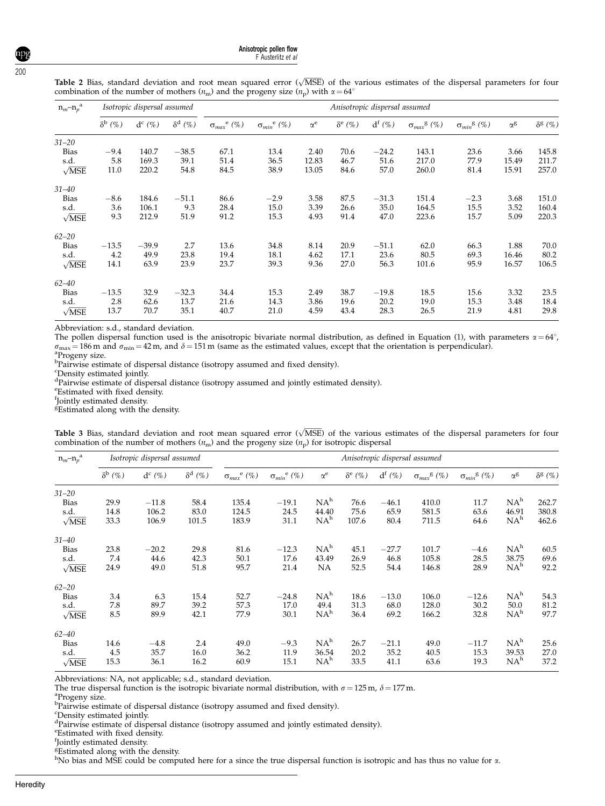|   | ٦      |
|---|--------|
| I | $\sim$ |

| <b>Table 2</b> Bias, standard deviation and root mean squared error ( $\sqrt{MSE}$ ) of the various estimates of the dispersal parameters for four |  |
|----------------------------------------------------------------------------------------------------------------------------------------------------|--|
|                                                                                                                                                    |  |
| combination of the number of mothers $(n_m)$ and the progeny size $(n_p)$ with $\alpha = 64^\circ$                                                 |  |

| $n_m - n_p$ <sup>a</sup> | Isotropic dispersal assumed |             |                | Anisotropic dispersal assumed |                              |            |                |             |                                      |                                           |            |                                  |
|--------------------------|-----------------------------|-------------|----------------|-------------------------------|------------------------------|------------|----------------|-------------|--------------------------------------|-------------------------------------------|------------|----------------------------------|
|                          | $\delta^{\rm b}$ (%)        | $d^{c}(\%)$ | $\delta^d$ (%) | $\sigma_{max}^{e}$ (%)        | $\sigma_{min}^{\quad e}$ (%) | $\alpha^e$ | $\delta^e$ (%) | $d^{f}(\%)$ | $\sigma_{max}^{\qquad \qquad 8}$ (%) | $\sigma_{min}^{\qquad \  \  \, 8}$ $(\%)$ | $\alpha^g$ | $\delta^{\rm g}\left(\% \right)$ |
| $31 - 20$                |                             |             |                |                               |                              |            |                |             |                                      |                                           |            |                                  |
| <b>Bias</b>              | $-9.4$                      | 140.7       | $-38.5$        | 67.1                          | 13.4                         | 2.40       | 70.6           | $-24.2$     | 143.1                                | 23.6                                      | 3.66       | 145.8                            |
| s.d.                     | 5.8                         | 169.3       | 39.1           | 51.4                          | 36.5                         | 12.83      | 46.7           | 51.6        | 217.0                                | 77.9                                      | 15.49      | 211.7                            |
| $\sqrt{\text{MSE}}$      | 11.0                        | 220.2       | 54.8           | 84.5                          | 38.9                         | 13.05      | 84.6           | 57.0        | 260.0                                | 81.4                                      | 15.91      | 257.0                            |
| $31 - 40$                |                             |             |                |                               |                              |            |                |             |                                      |                                           |            |                                  |
| <b>Bias</b>              | $-8.6$                      | 184.6       | $-51.1$        | 86.6                          | $-2.9$                       | 3.58       | 87.5           | $-31.3$     | 151.4                                | $-2.3$                                    | 3.68       | 151.0                            |
| s.d.                     | 3.6                         | 106.1       | 9.3            | 28.4                          | 15.0                         | 3.39       | 26.6           | 35.0        | 164.5                                | 15.5                                      | 3.52       | 160.4                            |
| $\sqrt{\text{MSE}}$      | 9.3                         | 212.9       | 51.9           | 91.2                          | 15.3                         | 4.93       | 91.4           | 47.0        | 223.6                                | 15.7                                      | 5.09       | 220.3                            |
| $62 - 20$                |                             |             |                |                               |                              |            |                |             |                                      |                                           |            |                                  |
| <b>Bias</b>              | $-13.5$                     | $-39.9$     | 2.7            | 13.6                          | 34.8                         | 8.14       | 20.9           | $-51.1$     | 62.0                                 | 66.3                                      | 1.88       | 70.0                             |
| s.d.                     | 4.2                         | 49.9        | 23.8           | 19.4                          | 18.1                         | 4.62       | 17.1           | 23.6        | 80.5                                 | 69.3                                      | 16.46      | 80.2                             |
| $\sqrt{\text{MSE}}$      | 14.1                        | 63.9        | 23.9           | 23.7                          | 39.3                         | 9.36       | 27.0           | 56.3        | 101.6                                | 95.9                                      | 16.57      | 106.5                            |
| $62 - 40$                |                             |             |                |                               |                              |            |                |             |                                      |                                           |            |                                  |
| <b>Bias</b>              | $-13.5$                     | 32.9        | $-32.3$        | 34.4                          | 15.3                         | 2.49       | 38.7           | $-19.8$     | 18.5                                 | 15.6                                      | 3.32       | 23.5                             |
| s.d.                     | 2.8                         | 62.6        | 13.7           | 21.6                          | 14.3                         | 3.86       | 19.6           | 20.2        | 19.0                                 | 15.3                                      | 3.48       | 18.4                             |
| $\sqrt{\text{MSE}}$      | 13.7                        | 70.7        | 35.1           | 40.7                          | 21.0                         | 4.59       | 43.4           | 28.3        | 26.5                                 | 21.9                                      | 4.81       | 29.8                             |

Abbreviation: s.d., standard deviation.

The pollen dispersal function used is the anisotropic bivariate normal distribution, as defined in Equation (1), with parameters  $\alpha = 64^{\circ}$ ,  $\sigma_{\text{max}} = 186$  m and  $\sigma_{\text{min}} = 42$  m, and  $\delta = 151$  m (same as the estimated values, except that the orientation is perpendicular). <sup>a</sup>Progeny size.

<sup>b</sup>Pairwise estimate of dispersal distance (isotropy assumed and fixed density).

c Density estimated jointly.

<sup>d</sup>Pairwise estimate of dispersal distance (isotropy assumed and jointly estimated density).

e Estimated with fixed density.

fJointly estimated density.

<sup>g</sup>Estimated along with the density.

Table 3 Bias, standard deviation and root mean squared error ( $\sqrt{\rm MSE}$ ) of the various estimates of the dispersal parameters for four combination of the number of mothers  $(n_m)$  and the progeny size  $(n_p)$  for isotropic dispersal

| $n_m - n_p$ <sup>a</sup> | Isotropic dispersal assumed |             |                | Anisotropic dispersal assumed |                              |                 |                |             |                        |                                        |                 |                |
|--------------------------|-----------------------------|-------------|----------------|-------------------------------|------------------------------|-----------------|----------------|-------------|------------------------|----------------------------------------|-----------------|----------------|
|                          | $\delta^{\rm b}$ (%)        | $d^{c}(\%)$ | $\delta^d$ (%) | $\sigma_{max}^{\quad e}$ (%)  | $\sigma_{min}^{\quad e}$ (%) | $\alpha^e$      | $\delta^e$ (%) | $d^{f}(\%)$ | $\sigma_{max}^{g}$ (%) | $\sigma_{min}^{\qquad \  \  \, 8}$ (%) | $\alpha^g$      | $\delta^g$ (%) |
| $31 - 20$                |                             |             |                |                               |                              |                 |                |             |                        |                                        |                 |                |
| <b>Bias</b>              | 29.9                        | $-11.8$     | 58.4           | 135.4                         | $-19.1$                      | NA <sup>h</sup> | 76.6           | $-46.1$     | 410.0                  | 11.7                                   | NA <sup>h</sup> | 262.7          |
| s.d.                     | 14.8                        | 106.2       | 83.0           | 124.5                         | 24.5                         | 44.40           | 75.6           | 65.9        | 581.5                  | 63.6                                   | 46.91           | 380.8          |
| $\sqrt{\text{MSE}}$      | 33.3                        | 106.9       | 101.5          | 183.9                         | 31.1                         | NA <sup>h</sup> | 107.6          | 80.4        | 711.5                  | 64.6                                   | NA <sup>h</sup> | 462.6          |
| $31 - 40$                |                             |             |                |                               |                              |                 |                |             |                        |                                        |                 |                |
| <b>Bias</b>              | 23.8                        | $-20.2$     | 29.8           | 81.6                          | $-12.3$                      | NA <sup>h</sup> | 45.1           | $-27.7$     | 101.7                  | $-4.6$                                 | NA <sup>h</sup> | 60.5           |
| s.d.                     | 7.4                         | 44.6        | 42.3           | 50.1                          | 17.6                         | 43.49           | 26.9           | 46.8        | 105.8                  | 28.5                                   | 38.75           | 69.6           |
| $\sqrt{\text{MSE}}$      | 24.9                        | 49.0        | 51.8           | 95.7                          | 21.4                         | <b>NA</b>       | 52.5           | 54.4        | 146.8                  | 28.9                                   | NA <sup>h</sup> | 92.2           |
| $62 - 20$                |                             |             |                |                               |                              |                 |                |             |                        |                                        |                 |                |
| <b>Bias</b>              | 3.4                         | 6.3         | 15.4           | 52.7                          | $-24.8$                      | NA <sup>h</sup> | 18.6           | $-13.0$     | 106.0                  | $-12.6$                                | NA <sup>h</sup> | 54.3           |
| s.d.                     | 7.8                         | 89.7        | 39.2           | 57.3                          | 17.0                         | 49.4            | 31.3           | 68.0        | 128.0                  | 30.2                                   | 50.0            | 81.2           |
| $\sqrt{\text{MSE}}$      | 8.5                         | 89.9        | 42.1           | 77.9                          | 30.1                         | NA <sup>h</sup> | 36.4           | 69.2        | 166.2                  | 32.8                                   | NA <sup>h</sup> | 97.7           |
| $62 - 40$                |                             |             |                |                               |                              |                 |                |             |                        |                                        |                 |                |
| <b>Bias</b>              | 14.6                        | $-4.8$      | 2.4            | 49.0                          | $-9.3$                       | NA <sup>h</sup> | 26.7           | $-21.1$     | 49.0                   | $-11.7$                                | NA <sup>h</sup> | 25.6           |
| s.d.                     | 4.5                         | 35.7        | 16.0           | 36.2                          | 11.9                         | 36.54           | 20.2           | 35.2        | 40.5                   | 15.3                                   | 39.53           | 27.0           |
| $\sqrt{\text{MSE}}$      | 15.3                        | 36.1        | 16.2           | 60.9                          | 15.1                         | NA <sup>h</sup> | 33.5           | 41.1        | 63.6                   | 19.3                                   | NA <sup>h</sup> | 37.2           |

Abbreviations: NA, not applicable; s.d., standard deviation.

The true dispersal function is the isotropic bivariate normal distribution, with  $\sigma = 125$  m,  $\delta = 177$  m.

<sup>b</sup>Pairwise estimate of dispersal distance (isotropy assumed and fixed density).

c Density estimated jointly.

<sup>d</sup>Pairwise estimate of dispersal distance (isotropy assumed and jointly estimated density).

e Estimated with fixed density.

fJointly estimated density.

**Estimated along with the density.** 

hNo bias and MSE could be computed here for a since the true dispersal function is isotropic and has thus no value for  $\alpha$ .

<sup>&</sup>lt;sup>a</sup>Progeny size.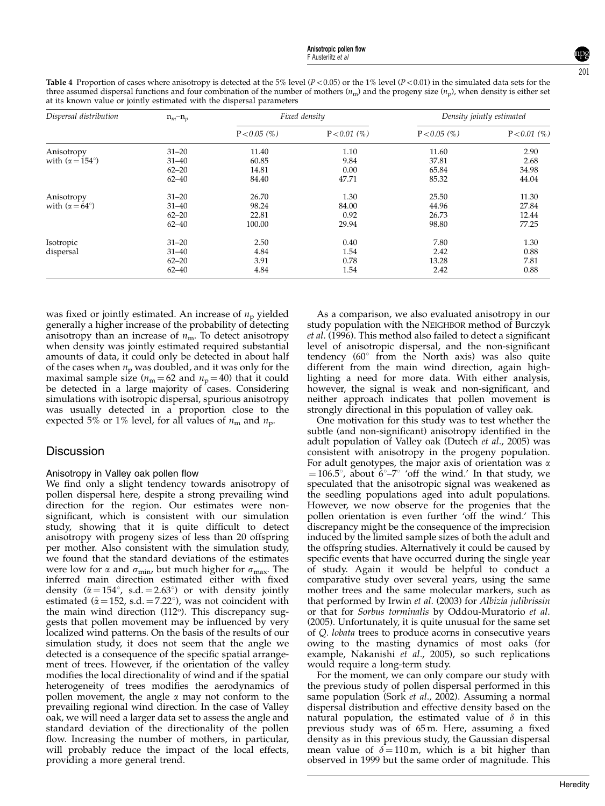Table 4 Proportion of cases where anisotropy is detected at the 5% level ( $P<0.05$ ) or the 1% level ( $P<0.01$ ) in the simulated data sets for the three assumed dispersal functions and four combination of the number of mothers  $(n_m)$  and the progeny size  $(n_p)$ , when density is either set at its known value or jointly estimated with the dispersal parameters

| Dispersal distribution        | $n_m - n_p$ |                | Fixed density  | Density jointly estimated |                |  |
|-------------------------------|-------------|----------------|----------------|---------------------------|----------------|--|
|                               |             | $P < 0.05$ (%) | $P < 0.01$ (%) | $P < 0.05$ (%)            | $P < 0.01$ (%) |  |
| Anisotropy                    | $31 - 20$   | 11.40          | 1.10           | 11.60                     | 2.90           |  |
| with $(\alpha = 154^{\circ})$ | $31 - 40$   | 60.85          | 9.84           | 37.81                     | 2.68           |  |
|                               | $62 - 20$   | 14.81          | 0.00           | 65.84                     | 34.98          |  |
|                               | $62 - 40$   | 84.40          | 47.71          | 85.32                     | 44.04          |  |
| Anisotropy                    | $31 - 20$   | 26.70          | 1.30           | 25.50                     | 11.30          |  |
| with $(\alpha = 64^{\circ})$  | $31 - 40$   | 98.24          | 84.00          | 44.96                     | 27.84          |  |
|                               | $62 - 20$   | 22.81          | 0.92           | 26.73                     | 12.44          |  |
|                               | $62 - 40$   | 100.00         | 29.94          | 98.80                     | 77.25          |  |
| Isotropic                     | $31 - 20$   | 2.50           | 0.40           | 7.80                      | 1.30           |  |
| dispersal                     | $31 - 40$   | 4.84           | 1.54           | 2.42                      | 0.88           |  |
|                               | $62 - 20$   | 3.91           | 0.78           | 13.28                     | 7.81           |  |
|                               | $62 - 40$   | 4.84           | 1.54           | 2.42                      | 0.88           |  |

was fixed or jointly estimated. An increase of  $n<sub>p</sub>$  yielded generally a higher increase of the probability of detecting anisotropy than an increase of  $n<sub>m</sub>$ . To detect anisotropy when density was jointly estimated required substantial amounts of data, it could only be detected in about half of the cases when  $n_p$  was doubled, and it was only for the maximal sample size ( $n_m = 62$  and  $n_p = 40$ ) that it could be detected in a large majority of cases. Considering simulations with isotropic dispersal, spurious anisotropy was usually detected in a proportion close to the expected 5% or 1% level, for all values of  $n<sub>m</sub>$  and  $n<sub>p</sub>$ .

## **Discussion**

## Anisotropy in Valley oak pollen flow

We find only a slight tendency towards anisotropy of pollen dispersal here, despite a strong prevailing wind direction for the region. Our estimates were nonsignificant, which is consistent with our simulation study, showing that it is quite difficult to detect anisotropy with progeny sizes of less than 20 offspring per mother. Also consistent with the simulation study, we found that the standard deviations of the estimates were low for  $\alpha$  and  $\sigma_{\min}$ , but much higher for  $\sigma_{\max}$ . The inferred main direction estimated either with fixed density  $(\hat{\alpha} = 154^{\circ}, \text{ s.d.} = 2.63^{\circ})$  or with density jointly estimated ( $\hat{\alpha} = 152$ , s.d. = 7.22<sup>o</sup>), was not coincident with the main wind direction (112°). This discrepancy suggests that pollen movement may be influenced by very localized wind patterns. On the basis of the results of our simulation study, it does not seem that the angle we detected is a consequence of the specific spatial arrangement of trees. However, if the orientation of the valley modifies the local directionality of wind and if the spatial heterogeneity of trees modifies the aerodynamics of pollen movement, the angle  $\alpha$  may not conform to the prevailing regional wind direction. In the case of Valley oak, we will need a larger data set to assess the angle and standard deviation of the directionality of the pollen flow. Increasing the number of mothers, in particular, will probably reduce the impact of the local effects, providing a more general trend.

As a comparison, we also evaluated anisotropy in our study population with the NEIGHBOR method of Burczyk et al. (1996). This method also failed to detect a significant level of anisotropic dispersal, and the non-significant tendency  $(60^{\circ}$  from the North axis) was also quite different from the main wind direction, again highlighting a need for more data. With either analysis, however, the signal is weak and non-significant, and neither approach indicates that pollen movement is strongly directional in this population of valley oak.

One motivation for this study was to test whether the subtle (and non-significant) anisotropy identified in the adult population of Valley oak (Dutech et al., 2005) was consistent with anisotropy in the progeny population. For adult genotypes, the major axis of orientation was  $\alpha$  $= 106.5^{\circ}$ , about  $6^{\circ}-7^{\circ}$  'off the wind.' In that study, we speculated that the anisotropic signal was weakened as the seedling populations aged into adult populations. However, we now observe for the progenies that the pollen orientation is even further 'off the wind.' This discrepancy might be the consequence of the imprecision induced by the limited sample sizes of both the adult and the offspring studies. Alternatively it could be caused by specific events that have occurred during the single year of study. Again it would be helpful to conduct a comparative study over several years, using the same mother trees and the same molecular markers, such as that performed by Irwin et al. (2003) for Albizia julibrissin or that for Sorbus torminalis by Oddou-Muratorio et al. (2005). Unfortunately, it is quite unusual for the same set of Q. lobata trees to produce acorns in consecutive years owing to the masting dynamics of most oaks (for example, Nakanishi et al., 2005), so such replications would require a long-term study.

For the moment, we can only compare our study with the previous study of pollen dispersal performed in this same population (Sork et al., 2002). Assuming a normal dispersal distribution and effective density based on the natural population, the estimated value of  $\delta$  in this previous study was of 65 m. Here, assuming a fixed density as in this previous study, the Gaussian dispersal mean value of  $\delta = 110 \text{ m}$ , which is a bit higher than observed in 1999 but the same order of magnitude. This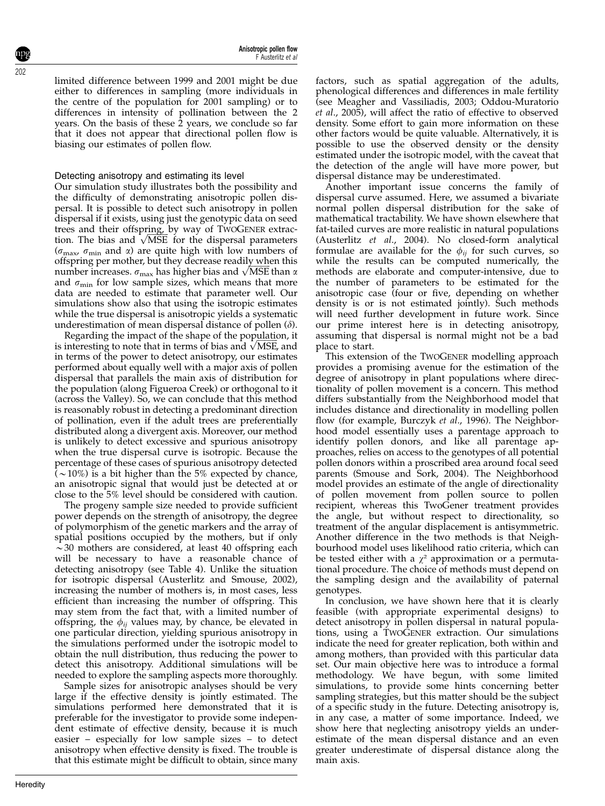limited difference between 1999 and 2001 might be due either to differences in sampling (more individuals in the centre of the population for 2001 sampling) or to differences in intensity of pollination between the 2 years. On the basis of these 2 years, we conclude so far that it does not appear that directional pollen flow is biasing our estimates of pollen flow.

#### Detecting anisotropy and estimating its level

Our simulation study illustrates both the possibility and the difficulty of demonstrating anisotropic pollen dispersal. It is possible to detect such anisotropy in pollen dispersal if it exists, using just the genotypic data on seed trees and their offspring, by way of TWOGENER extractrees and their offspring, by way of TWOGENER extraction. The bias and  $\sqrt{\text{MSE}}$  for the dispersal parameters ( $\sigma_{\text{max}}$ ,  $\sigma_{\text{min}}$  and  $\alpha$ ) are quite high with low numbers of offspring per mother, but they decrease readily when this offspring per mother, but they decrease readil<u>y wh</u>en this<br>number increases. σ<sub>max</sub> has higher bias and √MSE than α and  $\sigma_{\min}$  for low sample sizes, which means that more data are needed to estimate that parameter well. Our simulations show also that using the isotropic estimates while the true dispersal is anisotropic yields a systematic underestimation of mean dispersal distance of pollen  $(\delta)$ .

Regarding the impact of the shape of the population, it Regarding the impact of the shape of the population, it is interesting to note that in terms of bias and  $\sqrt{\text{MSE}}$ , and in terms of the power to detect anisotropy, our estimates performed about equally well with a major axis of pollen dispersal that parallels the main axis of distribution for the population (along Figueroa Creek) or orthogonal to it (across the Valley). So, we can conclude that this method is reasonably robust in detecting a predominant direction of pollination, even if the adult trees are preferentially distributed along a divergent axis. Moreover, our method is unlikely to detect excessive and spurious anisotropy when the true dispersal curve is isotropic. Because the percentage of these cases of spurious anisotropy detected  $\bar{C}$  ( $\sim$ 10%) is a bit higher than the 5% expected by chance, an anisotropic signal that would just be detected at or close to the 5% level should be considered with caution.

The progeny sample size needed to provide sufficient power depends on the strength of anisotropy, the degree of polymorphism of the genetic markers and the array of spatial positions occupied by the mothers, but if only  $\sim$  30 mothers are considered, at least 40 offspring each will be necessary to have a reasonable chance of detecting anisotropy (see Table 4). Unlike the situation for isotropic dispersal (Austerlitz and Smouse, 2002), increasing the number of mothers is, in most cases, less efficient than increasing the number of offspring. This may stem from the fact that, with a limited number of offspring, the  $\phi_{ii}$  values may, by chance, be elevated in one particular direction, yielding spurious anisotropy in the simulations performed under the isotropic model to obtain the null distribution, thus reducing the power to detect this anisotropy. Additional simulations will be needed to explore the sampling aspects more thoroughly.

Sample sizes for anisotropic analyses should be very large if the effective density is jointly estimated. The simulations performed here demonstrated that it is preferable for the investigator to provide some independent estimate of effective density, because it is much easier – especially for low sample sizes – to detect anisotropy when effective density is fixed. The trouble is that this estimate might be difficult to obtain, since many

factors, such as spatial aggregation of the adults, phenological differences and differences in male fertility (see Meagher and Vassiliadis, 2003; Oddou-Muratorio et al., 2005), will affect the ratio of effective to observed density. Some effort to gain more information on these other factors would be quite valuable. Alternatively, it is possible to use the observed density or the density estimated under the isotropic model, with the caveat that the detection of the angle will have more power, but dispersal distance may be underestimated.

Another important issue concerns the family of dispersal curve assumed. Here, we assumed a bivariate normal pollen dispersal distribution for the sake of mathematical tractability. We have shown elsewhere that fat-tailed curves are more realistic in natural populations (Austerlitz et al., 2004). No closed-form analytical formulae are available for the  $\phi_{ij}$  for such curves, so while the results can be computed numerically, the methods are elaborate and computer-intensive, due to the number of parameters to be estimated for the anisotropic case (four or five, depending on whether density is or is not estimated jointly). Such methods will need further development in future work. Since our prime interest here is in detecting anisotropy, assuming that dispersal is normal might not be a bad place to start.

This extension of the TWOGENER modelling approach provides a promising avenue for the estimation of the degree of anisotropy in plant populations where directionality of pollen movement is a concern. This method differs substantially from the Neighborhood model that includes distance and directionality in modelling pollen flow (for example, Burczyk et al., 1996). The Neighborhood model essentially uses a parentage approach to identify pollen donors, and like all parentage approaches, relies on access to the genotypes of all potential pollen donors within a proscribed area around focal seed parents (Smouse and Sork, 2004). The Neighborhood model provides an estimate of the angle of directionality of pollen movement from pollen source to pollen recipient, whereas this TwoGener treatment provides the angle, but without respect to directionality, so treatment of the angular displacement is antisymmetric. Another difference in the two methods is that Neighbourhood model uses likelihood ratio criteria, which can be tested either with a  $\chi^2$  approximation or a permutational procedure. The choice of methods must depend on the sampling design and the availability of paternal genotypes.

In conclusion, we have shown here that it is clearly feasible (with appropriate experimental designs) to detect anisotropy in pollen dispersal in natural populations, using a TWOGENER extraction. Our simulations indicate the need for greater replication, both within and among mothers, than provided with this particular data set. Our main objective here was to introduce a formal methodology. We have begun, with some limited simulations, to provide some hints concerning better sampling strategies, but this matter should be the subject of a specific study in the future. Detecting anisotropy is, in any case, a matter of some importance. Indeed, we show here that neglecting anisotropy yields an underestimate of the mean dispersal distance and an even greater underestimate of dispersal distance along the main axis.

202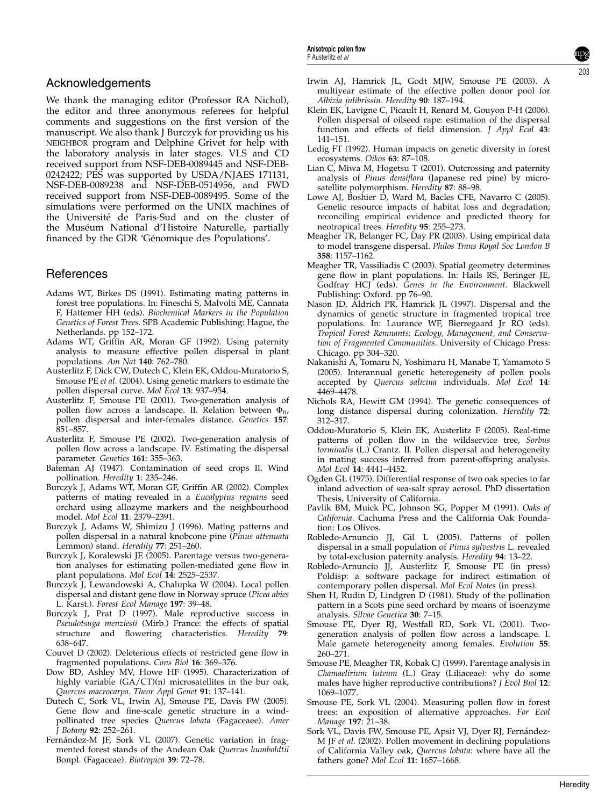203

## Acknowledgements

We thank the managing editor (Professor RA Nichol), the editor and three anonymous referees for helpful comments and suggestions on the first version of the manuscript. We also thank J Burczyk for providing us his NEIGHBOR program and Delphine Grivet for help with the laboratory analysis in later stages. VLS and CD received support from NSF-DEB-0089445 and NSF-DEB-0242422; PES was supported by USDA/NJAES 171131, NSF-DEB-0089238 and NSF-DEB-0514956, and FWD received support from NSF-DEB-0089495. Some of the simulations were performed on the UNIX machines of the Universite´ de Paris-Sud and on the cluster of the Muséum National d'Histoire Naturelle, partially financed by the GDR 'Génomique des Populations'.

# **References**

- Adams WT, Birkes DS (1991). Estimating mating patterns in forest tree populations. In: Fineschi S, Malvolti ME, Cannata F, Hattemer HH (eds). Biochemical Markers in the Population Genetics of Forest Trees. SPB Academic Publishing: Hague, the Netherlands. pp 152–172.
- Adams WT, Griffin AR, Moran GF (1992). Using paternity analysis to measure effective pollen dispersal in plant populations. Am Nat 140: 762-780.
- Austerlitz F, Dick CW, Dutech C, Klein EK, Oddou-Muratorio S, Smouse PE et al. (2004). Using genetic markers to estimate the pollen dispersal curve. Mol Ecol 13: 937-954.
- Austerlitz F, Smouse PE (2001). Two-generation analysis of pollen flow across a landscape. II. Relation between  $\Phi_{\text{ft}}$ , pollen dispersal and inter-females distance. Genetics 157: 851–857.
- Austerlitz F, Smouse PE (2002). Two-generation analysis of pollen flow across a landscape. IV. Estimating the dispersal parameter. Genetics 161: 355–363.
- Bateman AJ (1947). Contamination of seed crops II. Wind pollination. Heredity 1: 235–246.
- Burczyk J, Adams WT, Moran GF, Griffin AR (2002). Complex patterns of mating revealed in a Eucalyptus regnans seed orchard using allozyme markers and the neighbourhood model. Mol Ecol 11: 2379–2391.
- Burczyk J, Adams W, Shimizu J (1996). Mating patterns and pollen dispersal in a natural knobcone pine (Pinus attenuata Lemmon) stand. Heredity 77: 251–260.
- Burczyk J, Koralewski JE (2005). Parentage versus two-generation analyses for estimating pollen-mediated gene flow in plant populations. Mol Ecol 14: 2525-2537.
- Burczyk J, Lewandowski A, Chalupka W (2004). Local pollen dispersal and distant gene flow in Norway spruce (Picea abies L. Karst.). Forest Ecol Manage 197: 39–48.
- Burczyk J, Prat D (1997). Male reproductive success in Pseudotsuga menziesii (Mirb.) France: the effects of spatial structure and flowering characteristics. Heredity 79: 638–647.
- Couvet D (2002). Deleterious effects of restricted gene flow in fragmented populations. Cons Biol 16: 369–376.
- Dow BD, Ashley MV, Howe HF (1995). Characterization of highly variable (GA/CT)(n) microsatellites in the bur oak, Quercus macrocarpa. Theor Appl Genet 91: 137–141.
- Dutech C, Sork VL, Irwin AJ, Smouse PE, Davis FW (2005). Gene flow and fine-scale genetic structure in a windpollinated tree species Quercus lobata (Fagaceaee). Amer J Botany 92: 252–261.
- Fernández-M JF, Sork VL (2007). Genetic variation in fragmented forest stands of the Andean Oak Quercus humboldtii Bonpl. (Fagaceae). Biotropica 39: 72–78.
- Irwin AJ, Hamrick JL, Godt MJW, Smouse PE (2003). A multiyear estimate of the effective pollen donor pool for Albizia julibrissin. Heredity 90: 187–194.
- Klein EK, Lavigne C, Picault H, Renard M, Gouyon P-H (2006). Pollen dispersal of oilseed rape: estimation of the dispersal function and effects of field dimension. J Appl Ecol 43: 141–151.
- Ledig FT (1992). Human impacts on genetic diversity in forest ecosystems. Oikos 63: 87–108.
- Lian C, Miwa M, Hogetsu T (2001). Outcrossing and paternity analysis of Pinus densiflora (Japanese red pine) by microsatellite polymorphism. Heredity 87: 88-98.
- Lowe AJ, Boshier D, Ward M, Bacles CFE, Navarro C (2005). Genetic resource impacts of habitat loss and degradation; reconciling empirical evidence and predicted theory for neotropical trees. Heredity 95: 255–273.
- Meagher TR, Belanger FC, Day PR (2003). Using empirical data to model transgene dispersal. Philos Trans Royal Soc London B 358: 1157–1162.
- Meagher TR, Vassiliadis C (2003). Spatial geometry determines gene flow in plant populations. In: Hails RS, Beringer JE, Godfray HCJ (eds). Genes in the Environment. Blackwell Publishing: Oxford. pp 76–90.
- Nason JD, Aldrich PR, Hamrick JL (1997). Dispersal and the dynamics of genetic structure in fragmented tropical tree populations. In: Laurance WF, Bierregaard Jr RO (eds). Tropical Forest Remnants: Ecology, Management, and Conservation of Fragmented Communities. University of Chicago Press: Chicago. pp 304–320.
- Nakanishi A, Tomaru N, Yoshimaru H, Manabe T, Yamamoto S (2005). Interannual genetic heterogeneity of pollen pools accepted by Quercus salicina individuals. Mol Ecol 14: 4469–4478.
- Nichols RA, Hewitt GM (1994). The genetic consequences of long distance dispersal during colonization. Heredity 72: 312–317.
- Oddou-Muratorio S, Klein EK, Austerlitz F (2005). Real-time patterns of pollen flow in the wildservice tree, Sorbus torminalis (L.) Crantz. II. Pollen dispersal and heterogeneity in mating success inferred from parent-offspring analysis. Mol Ecol 14: 4441–4452.
- Ogden GL (1975). Differential response of two oak species to far inland advection of sea-salt spray aerosol. PhD dissertation Thesis, University of California.
- Pavlik BM, Muick PC, Johnson SG, Popper M (1991). Oaks of California. Cachuma Press and the California Oak Foundation: Los Olivos.
- Robledo-Arnuncio JJ, Gil L (2005). Patterns of pollen dispersal in a small population of Pinus sylvestris L. revealed by total-exclusion paternity analysis. Heredity 94: 13–22.
- Robledo-Arnuncio JJ, Austerlitz F, Smouse PE (in press) Poldisp: a software package for indirect estimation of contemporary pollen dispersal. Mol Ecol Notes (in press).
- Shen H, Rudin D, Lindgren D (1981). Study of the pollination pattern in a Scots pine seed orchard by means of isoenzyme analysis. Silvae Genetica 30: 7–15.
- Smouse PE, Dyer RJ, Westfall RD, Sork VL (2001). Twogeneration analysis of pollen flow across a landscape. I. Male gamete heterogeneity among females. Evolution 55: 260–271.
- Smouse PE, Meagher TR, Kobak CJ (1999). Parentage analysis in Chamaelirium luteum (L.) Gray (Liliaceae): why do some males have higher reproductive contributions? *J Evol Biol* 12: 1069–1077.
- Smouse PE, Sork VL (2004). Measuring pollen flow in forest trees: an exposition of alternative approaches. For Ecol Manage 197: 21–38.
- Sork VL, Davis FW, Smouse PE, Apsit VJ, Dyer RJ, Fernández-M JF et al. (2002). Pollen movement in declining populations of California Valley oak, Quercus lobata: where have all the fathers gone? Mol Ecol 11: 1657–1668.